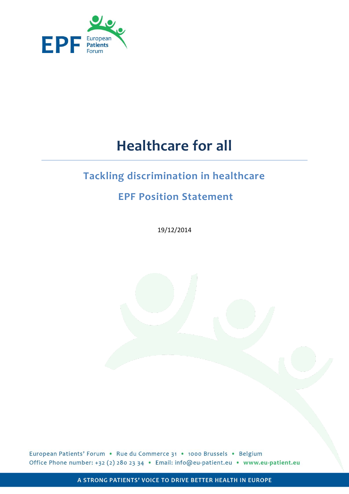

# **Healthcare for all**

# **Tackling discrimination in healthcare**

# **EPF Position Statement**

19/12/2014

European Patients' Forum . Rue du Commerce 31 . 1000 Brussels . Belgium Office Phone number: +32 (2) 280 23 34 · Email: info@eu-patient.eu · www.eu-patient.eu

A STRONG PATIENTS' VOICE TO DRIVE BETTER HEALTH IN EUROPE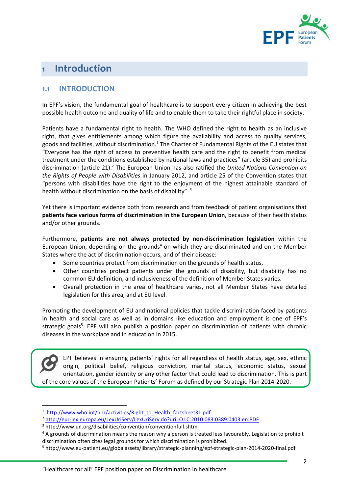

# **Introduction**

## **1.1 INTRODUCTION**

In EPF's vision, the fundamental goal of healthcare is to support every citizen in achieving the best possible health outcome and quality of life and to enable them to take their rightful place in society.

Patients have a fundamental right to health. The WHO defined the right to health as an inclusive right, that gives entitlements among which figure the availability and access to quality services, goods and facilities, without discrimination.<sup>1</sup> The Charter of Fundamental Rights of the EU states that "Everyone has the right of access to preventive health care and the right to benefit from medical treatment under the conditions established by national laws and practices" (article 35) and prohibits discrimination (article 21).<sup>2</sup> The European Union has also ratified the *United Nations Convention on the Rights of People with Disabilities* in January 2012, and article 25 of the Convention states that "persons with disabilities have the right to the enjoyment of the highest attainable standard of health without discrimination on the basis of disability". *3*

Yet there is important evidence both from research and from feedback of patient organisations that **patients face various forms of discrimination in the European Union**, because of their health status and/or other grounds.

Furthermore, **patients are not always protected by non-discrimination legislation** within the European Union, depending on the grounds<sup>4</sup> on which they are discriminated and on the Member States where the act of discrimination occurs, and of their disease:

- Some countries protect from discrimination on the grounds of health status,
- Other countries protect patients under the grounds of disability, but disability has no common EU definition, and inclusiveness of the definition of Member States varies.
- Overall protection in the area of healthcare varies, not all Member States have detailed legislation for this area, and at EU level.

Promoting the development of EU and national policies that tackle discrimination faced by patients in health and social care as well as in domains like education and employment is one of EPF's strategic goals<sup>5</sup>. EPF will also publish a position paper on discrimination of patients with chronic diseases in the workplace and in education in 2015.

EPF believes in ensuring patients' rights for all regardless of health status, age, sex, ethnic origin, political belief, religious conviction, marital status, economic status, sexual orientation, gender identity or any other factor that could lead to discrimination. This is part of the core values of the European Patients' Forum as defined by our Strategic Plan 2014-2020.

<sup>&</sup>lt;sup>1</sup> [http://www.who.int/hhr/activities/Right\\_to\\_Health\\_factsheet31.pdf](http://www.who.int/hhr/activities/Right_to_Health_factsheet31.pdf)

<sup>2</sup> <http://eur-lex.europa.eu/LexUriServ/LexUriServ.do?uri=OJ:C:2010:083:0389:0403:en:PDF>

<sup>3</sup> http://www.un.org/disabilities/convention/conventionfull.shtml

<sup>&</sup>lt;sup>4</sup> A grounds of discrimination means the reason why a person is treated less favourably. Legislation to prohibit discrimination often cites legal grounds for which discrimination is prohibited.

<sup>5</sup> http://www.eu-patient.eu/globalassets/library/strategic-planning/epf-strategic-plan-2014-2020-final.pdf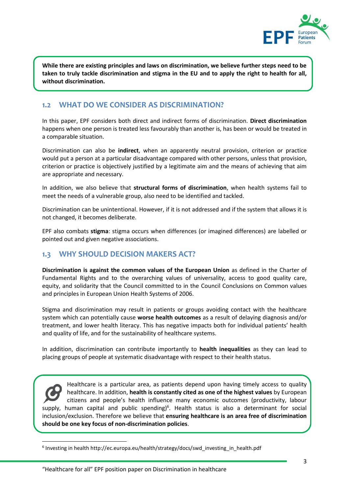

**While there are existing principles and laws on discrimination, we believe further steps need to be taken to truly tackle discrimination and stigma in the EU and to apply the right to health for all, without discrimination.**

### **1.2 WHAT DO WE CONSIDER AS DISCRIMINATION?**

In this paper, EPF considers both direct and indirect forms of discrimination. **Direct discrimination** happens when one person is treated less favourably than another is, has been or would be treated in a comparable situation.

Discrimination can also be **indirect**, when an apparently neutral provision, criterion or practice would put a person at a particular disadvantage compared with other persons, unless that provision, criterion or practice is objectively justified by a legitimate aim and the means of achieving that aim are appropriate and necessary.

In addition, we also believe that **structural forms of discrimination**, when health systems fail to meet the needs of a vulnerable group, also need to be identified and tackled.

Discrimination can be unintentional. However, if it is not addressed and if the system that allows it is not changed, it becomes deliberate.

EPF also combats **stigma**: stigma occurs when differences (or imagined differences) are labelled or pointed out and given negative associations.

## **1.3 WHY SHOULD DECISION MAKERS ACT?**

**Discrimination is against the common values of the European Union** as defined in the Charter of Fundamental Rights and to the overarching values of universality, access to good quality care, equity, and solidarity that the Council committed to in the Council Conclusions on Common values and principles in European Union Health Systems of 2006.

Stigma and discrimination may result in patients or groups avoiding contact with the healthcare system which can potentially cause **worse health outcomes** as a result of delaying diagnosis and/or treatment, and lower health literacy. This has negative impacts both for individual patients' health and quality of life, and for the sustainability of healthcare systems.

In addition, discrimination can contribute importantly to **health inequalities** as they can lead to placing groups of people at systematic disadvantage with respect to their health status.

Healthcare is a particular area, as patients depend upon having timely access to quality healthcare. In addition, **health is constantly cited as one of the highest values** by European citizens and people's health influence many economic outcomes (productivity, labour supply, human capital and public spending)<sup>6</sup>. Health status is also a determinant for social inclusion/exclusion. Therefore we believe that **ensuring healthcare is an area free of discrimination should be one key focus of non-discrimination policies**.

<sup>&</sup>lt;sup>6</sup> Investing in health http://ec.europa.eu/health/strategy/docs/swd\_investing\_in\_health.pdf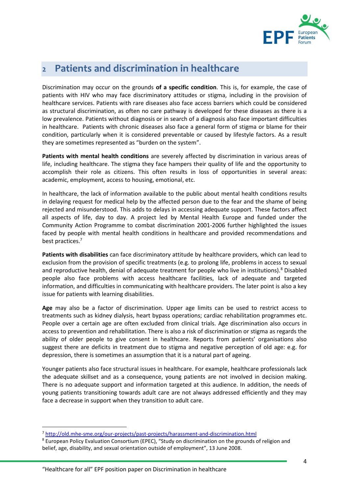

### Patients and discrimination in healthcare  $\overline{2}$

Discrimination may occur on the grounds **of a specific condition**. This is, for example, the case of patients with HIV who may face discriminatory attitudes or stigma, including in the provision of healthcare services. Patients with rare diseases also face access barriers which could be considered as structural discrimination, as often no care pathway is developed for these diseases as there is a low prevalence. Patients without diagnosis or in search of a diagnosis also face important difficulties in healthcare. Patients with chronic diseases also face a general form of stigma or blame for their condition, particularly when it is considered preventable or caused by lifestyle factors. As a result they are sometimes represented as "burden on the system".

**Patients with mental health conditions** are severely affected by discrimination in various areas of life, including healthcare. The stigma they face hampers their quality of life and the opportunity to accomplish their role as citizens. This often results in loss of opportunities in several areas: academic, employment, access to housing, emotional, etc.

In healthcare, the lack of information available to the public about mental health conditions results in delaying request for medical help by the affected person due to the fear and the shame of being rejected and misunderstood. This adds to delays in accessing adequate support. These factors affect all aspects of life, day to day. A project led by Mental Health Europe and funded under the Community Action Programme to combat discrimination 2001-2006 further highlighted the issues faced by people with mental health conditions in healthcare and provided recommendations and best practices.<sup>7</sup>

**Patients with disabilities** can face discriminatory attitude by healthcare providers, which can lead to exclusion from the provision of specific treatments (e.g. to prolong life, problems in access to sexual and reproductive health, denial of adequate treatment for people who live in institutions).<sup>8</sup> Disabled people also face problems with access healthcare facilities, lack of adequate and targeted information, and difficulties in communicating with healthcare providers. The later point is also a key issue for patients with learning disabilities.

**Age** may also be a factor of discrimination. Upper age limits can be used to restrict access to treatments such as kidney dialysis, heart bypass operations; cardiac rehabilitation programmes etc. People over a certain age are often excluded from clinical trials. Age discrimination also occurs in access to prevention and rehabilitation. There is also a risk of discrimination or stigma as regards the ability of older people to give consent in healthcare. Reports from patients' organisations also suggest there are deficits in treatment due to stigma and negative perception of old age: e.g. for depression, there is sometimes an assumption that it is a natural part of ageing.

Younger patients also face structural issues in healthcare. For example, healthcare professionals lack the adequate skillset and as a consequence, young patients are not involved in decision making. There is no adequate support and information targeted at this audience. In addition, the needs of young patients transitioning towards adult care are not always addressed efficiently and they may face a decrease in support when they transition to adult care.

<sup>7</sup> <http://old.mhe-sme.org/our-projects/past-projects/harassment-and-discrimination.html>

<sup>8</sup> European Policy Evaluation Consortium (EPEC), "Study on discrimination on the grounds of religion and belief, age, disability, and sexual orientation outside of employment", 13 June 2008.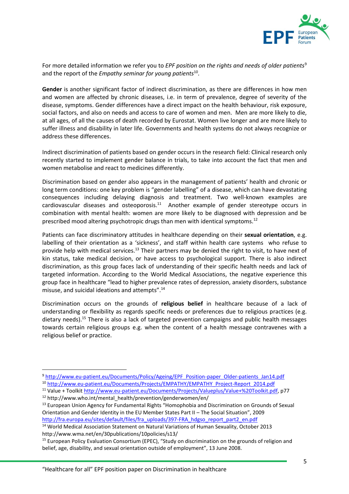

For more detailed information we refer you to *EPF position on the rights and needs of older patients*<sup>9</sup> and the report of the *Empathy seminar for young patients*<sup>10</sup> .

**Gender** is another significant factor of indirect discrimination, as there are differences in how men and women are affected by chronic diseases, i.e. in term of prevalence, degree of severity of the disease, symptoms. Gender differences have a direct impact on the health behaviour, risk exposure, social factors, and also on needs and access to care of women and men. Men are more likely to die, at all ages, of all the causes of death recorded by Eurostat. Women live longer and are more likely to suffer illness and disability in later life. Governments and health systems do not always recognize or address these differences.

Indirect discrimination of patients based on gender occurs in the research field: Clinical research only recently started to implement gender balance in trials, to take into account the fact that men and women metabolise and react to medicines differently.

Discrimination based on gender also appears in the management of patients' health and chronic or long term conditions: one key problem is "gender labelling" of a disease, which can have devastating consequences including delaying diagnosis and treatment. Two well-known examples are cardiovascular diseases and osteoporosis.<sup>11</sup> Another example of gender stereotype occurs in combination with mental health: women are more likely to be diagnosed with depression and be prescribed mood altering psychotropic drugs than men with identical symptoms.<sup>12</sup>

Patients can face discriminatory attitudes in healthcare depending on their **sexual orientation**, e.g. labelling of their orientation as a 'sickness', and staff within health care systems who refuse to provide help with medical services.<sup>13</sup> Their partners may be denied the right to visit, to have next of kin status, take medical decision, or have access to psychological support. There is also indirect discrimination, as this group faces lack of understanding of their specific health needs and lack of targeted information. According to the World Medical Associations, the negative experience this group face in healthcare "lead to higher prevalence rates of depression, anxiety disorders, substance misuse, and suicidal ideations and attempts".<sup>14</sup>

Discrimination occurs on the grounds of **religious belief** in healthcare because of a lack of understanding or flexibility as regards specific needs or preferences due to religious practices (e.g. dietary needs).<sup>15</sup> There is also a lack of targeted prevention campaigns and public health messages towards certain religious groups e.g. when the content of a health message contravenes with a religious belief or practice.

<sup>9</sup> [http://www.eu-patient.eu/Documents/Policy/Ageing/EPF\\_Position-paper\\_Older-patients\\_Jan14.pdf](http://www.eu-patient.eu/Documents/Policy/Ageing/EPF_Position-paper_Older-patients_Jan14.pdf)

<sup>10</sup> [http://www.eu-patient.eu/Documents/Projects/EMPATHY/EMPATHY\\_Project-Report\\_2014.pdf](http://www.eu-patient.eu/Documents/Projects/EMPATHY/EMPATHY_Project-Report_2014.pdf)

<sup>11</sup> Value + Toolkit [http://www.eu-patient.eu/Documents/Projects/Valueplus/Value+%20Toolkit.pdf,](http://www.eu-patient.eu/Documents/Projects/Valueplus/Value+%20Toolkit.pdf) p77 <sup>12</sup> http://www.who.int/mental\_health/prevention/genderwomen/en/

<sup>&</sup>lt;sup>13</sup> European Union Agency for Fundamental Rights "Homophobia and Discrimination on Grounds of Sexual Orientation and Gender Identity in the EU Member States Part II – The Social Situation", 2009

[http://fra.europa.eu/sites/default/files/fra\\_uploads/397-FRA\\_hdgso\\_report\\_part2\\_en.pdf](http://fra.europa.eu/sites/default/files/fra_uploads/397-FRA_hdgso_report_part2_en.pdf)

<sup>&</sup>lt;sup>14</sup> World Medical Association Statement on Natural Variations of Human Sexuality, October 2013 http://www.wma.net/en/30publications/10policies/s13/

<sup>15</sup> European Policy Evaluation Consortium (EPEC), "Study on discrimination on the grounds of religion and belief, age, disability, and sexual orientation outside of employment", 13 June 2008.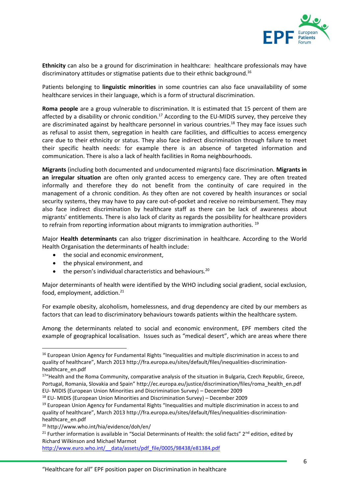

**Ethnicity** can also be a ground for discrimination in healthcare: healthcare professionals may have discriminatory attitudes or stigmatise patients due to their ethnic background.<sup>16</sup>

Patients belonging to **linguistic minorities** in some countries can also face unavailability of some healthcare services in their language, which is a form of structural discrimination.

**Roma people** are a group vulnerable to discrimination. It is estimated that 15 percent of them are affected by a disability or chronic condition.<sup>17</sup> According to the EU-MIDIS survey, they perceive they are discriminated against by healthcare personnel in various countries.<sup>18</sup> They may face issues such as refusal to assist them, segregation in health care facilities, and difficulties to access emergency care due to their ethnicity or status. They also face indirect discrimination through failure to meet their specific health needs: for example there is an absence of targeted information and communication. There is also a lack of health facilities in Roma neighbourhoods.

**Migrants** (including both documented and undocumented migrants) face discrimination. **Migrants in an irregular situation** are often only granted access to emergency care. They are often treated informally and therefore they do not benefit from the continuity of care required in the management of a chronic condition. As they often are not covered by health insurances or social security systems, they may have to pay care out-of-pocket and receive no reimbursement. They may also face indirect discrimination by healthcare staff as there can be lack of awareness about migrants' entitlements. There is also lack of clarity as regards the possibility for healthcare providers to refrain from reporting information about migrants to immigration authorities.  $19$ 

Major **Health determinants** can also trigger discrimination in healthcare. According to the World Health Organisation the determinants of health include:

- the social and economic environment,
- the physical environment, and
- $\bullet$  the person's individual characteristics and behaviours.<sup>20</sup>

Major determinants of health were identified by the WHO including social gradient, social exclusion, food, employment, addiction.<sup>21</sup>

For example obesity, alcoholism, homelessness, and drug dependency are cited by our members as factors that can lead to discriminatory behaviours towards patients within the healthcare system.

Among the determinants related to social and economic environment, EPF members cited the example of geographical localisation. Issues such as "medical desert", which are areas where there

 $\overline{a}$ 

http://www.euro.who.int/ data/assets/pdf file/0005/98438/e81384.pdf

<sup>&</sup>lt;sup>16</sup> European Union Agency for Fundamental Rights "Inequalities and multiple discrimination in access to and quality of healthcare", March 2013 http://fra.europa.eu/sites/default/files/inequalities-discriminationhealthcare\_en.pdf

<sup>&</sup>lt;sup>17</sup>"Health and the Roma Community, comparative analysis of the situation in Bulgaria, Czech Republic, Greece, Portugal, Romania, Slovakia and Spain" http://ec.europa.eu/justice/discrimination/files/roma\_health\_en.pdf EU‐ MIDIS (European Union Minorities and Discrimination Survey) – December 2009

<sup>18</sup> EU‐ MIDIS (European Union Minorities and Discrimination Survey) – December 2009

<sup>&</sup>lt;sup>19</sup> European Union Agency for Fundamental Rights "Inequalities and multiple discrimination in access to and quality of healthcare", March 2013 http://fra.europa.eu/sites/default/files/inequalities-discriminationhealthcare\_en.pdf

<sup>20</sup> http://www.who.int/hia/evidence/doh/en/

<sup>&</sup>lt;sup>21</sup> Further information is available in "Social Determinants of Health: the solid facts" 2<sup>nd</sup> edition, edited by Richard Wilkinson and Michael Marmot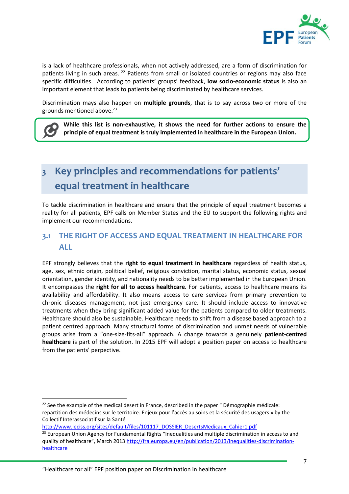

is a lack of healthcare professionals, when not actively addressed, are a form of discrimination for patients living in such areas. <sup>22</sup> Patients from small or isolated countries or regions may also face specific difficulties. According to patients' groups' feedback, **low socio-economic status** is also an important element that leads to patients being discriminated by healthcare services.

Discrimination mays also happen on **multiple grounds**, that is to say across two or more of the grounds mentioned above. 23

**While this list is non-exhaustive, it shows the need for further actions to ensure the principle of equal treatment is truly implemented in healthcare in the European Union.**

## Key principles and recommendations for patients'  $\overline{\mathbf{3}}$ equal treatment in healthcare

To tackle discrimination in healthcare and ensure that the principle of equal treatment becomes a reality for all patients, EPF calls on Member States and the EU to support the following rights and implement our recommendations.

# **3.1 THE RIGHT OF ACCESS AND EQUAL TREATMENT IN HEALTHCARE FOR ALL**

EPF strongly believes that the **right to equal treatment in healthcare** regardless of health status, age, sex, ethnic origin, political belief, religious conviction, marital status, economic status, sexual orientation, gender identity, and nationality needs to be better implemented in the European Union. It encompasses the **right for all to access healthcare**. For patients, access to healthcare means its availability and affordability. It also means access to care services from primary prevention to chronic diseases management, not just emergency care. It should include access to innovative treatments when they bring significant added value for the patients compared to older treatments. Healthcare should also be sustainable. Healthcare needs to shift from a disease based approach to a patient centred approach. Many structural forms of discrimination and unmet needs of vulnerable groups arise from a "one-size-fits-all" approach. A change towards a genuinely **patient-centred healthcare** is part of the solution. In 2015 EPF will adopt a position paper on access to healthcare from the patients' perpective.

[http://www.leciss.org/sites/default/files/101117\\_DOSSIER\\_DesertsMedicaux\\_Cahier1.pdf](http://www.leciss.org/sites/default/files/101117_DOSSIER_DesertsMedicaux_Cahier1.pdf)

 $\overline{a}$ 

<sup>&</sup>lt;sup>22</sup> See the example of the medical desert in France, described in the paper " Démographie médicale: repartition des médecins sur le territoire: Enjeux pour l'accès au soins et la sécurité des usagers » by the Collectif Interassociatif sur la Santé

<sup>&</sup>lt;sup>23</sup> European Union Agency for Fundamental Rights "Inequalities and multiple discrimination in access to and quality of healthcare", March 2013 [http://fra.europa.eu/en/publication/2013/inequalities-discrimination](http://fra.europa.eu/en/publication/2013/inequalities-discrimination-healthcare)[healthcare](http://fra.europa.eu/en/publication/2013/inequalities-discrimination-healthcare)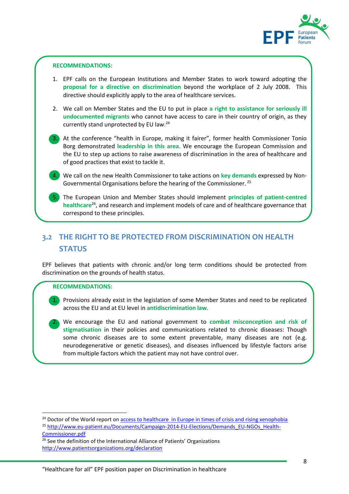

- 1. EPF calls on the European Institutions and Member States to work toward adopting the **proposal for a directive on discrimination** beyond the workplace of 2 July 2008. This directive should explicitly apply to the area of healthcare services.
- **RECOMMENDATIONS:**<br>
1. EPF calls on the E<br> **proposal for a divertive should ex**<br>
2. We call on Members<br> **undocumented minumetry stand unjournantly stand unjournantly stand unjournantly stand unjournantly** 2. We call on Member States and the EU to put in place **a right to assistance for seriously ill undocumented migrants** who cannot have access to care in their country of origin, as they currently stand unprotected by EU law.<sup>24</sup>

1 3. At the conference "health in Europe, making it fairer", former health Commissioner Tonio Borg demonstrated **leadership in this area**. We encourage the European Commission and the EU to step up actions to raise awareness of discrimination in the area of healthcare and of good practices that exist to tackle it.

1 4. We call on the new Health Commissioner to take actions on **key demands** expressed by Non-Governmental Organisations before the hearing of the Commissioner. <sup>25</sup>

5. The European Union and Member States should implement **principles of patient-centred**<br>**haalthcare<sup>26</sup>** and research and implement models of care and of healthcare governance that **healthcare**<sup>26</sup>, and research and implement models of care and of healthcare governance that correspond to these principles.

## **3.2 THE RIGHT TO BE PROTECTED FROM DISCRIMINATION ON HEALTH STATUS**

EPF believes that patients with chronic and/or long term conditions should be protected from discrimination on the grounds of health status.

### **RECOMMENDATIONS:**

1

 $\overline{a}$ 

1

1. Provisions already exist in the legislation of some Member States and need to be replicated<br>access the EU and at EU lovel in antidiscrimination law across the EU and at EU level in **antidiscrimination law**.

2. We encourage the EU and national government to **combat misconception and risk of stigmatisation** in their policies and communications related to chronic diseases: Though some chronic diseases are to some extent preventable, many diseases are not (e.g. neurodegenerative or genetic diseases), and diseases influenced by lifestyle factors arise from multiple factors which the patient may not have control over.

<sup>26</sup> See the definition of the International Alliance of Patients' Organizations <http://www.patientsorganizations.org/declaration>

 $24$  Doctor of the World report o[n access to healthcare in Europe in times of crisis and rising xenophobia](http://www.medicosdelmundo.org/index.php/mod.documentos/mem.descargar/fichero.documentos_MdM_Report_access_healthcare_times_crisis_and_rising_xenophobia_edcfd8a3%232E%23pdf) <sup>25</sup> [http://www.eu-patient.eu/Documents/Campaign-2014-EU-Elections/Demands\\_EU-NGOs\\_Health-](http://www.eu-patient.eu/Documents/Campaign-2014-EU-Elections/Demands_EU-NGOs_Health-Commissioner.pdf)[Commissioner.pdf](http://www.eu-patient.eu/Documents/Campaign-2014-EU-Elections/Demands_EU-NGOs_Health-Commissioner.pdf)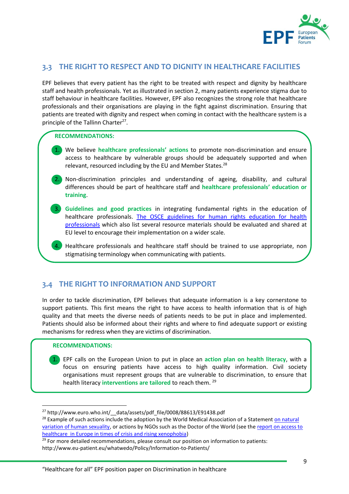

## **3.3 THE RIGHT TO RESPECT AND TO DIGNITY IN HEALTHCARE FACILITIES**

EPF believes that every patient has the right to be treated with respect and dignity by healthcare staff and health professionals. Yet as illustrated in section 2, many patients experience stigma due to staff behaviour in healthcare facilities. However, EPF also recognizes the strong role that healthcare professionals and their organisations are playing in the fight against discrimination. Ensuring that patients are treated with dignity and respect when coming in contact with the healthcare system is a principle of the Tallinn Charter<sup>27</sup>.

### **RECOMMENDATIONS:**

- 1. We believe **healthcare professionals' actions** to promote non-discrimination and ensure access to healthcare by vulnerable groups should be adequately supported and when relevant, resourced including by the EU and Member States.<sup>28</sup>
- 2. Non-discrimination principles and understanding of ageing, disability, and cultural<br>differences should be next of boalthcare staff and healthcare arefessionals' education or differences should be part of healthcare staff and **healthcare professionals' education or training**.
- 1 3. **Guidelines and good practices** in integrating fundamental rights in the education of healthcare professionals. [The OSCE guidelines for human rights education for health](http://www.osce.org/odihr/105053?download=true)  [professionals](http://www.osce.org/odihr/105053?download=true) which also list several resource materials should be evaluated and shared at EU level to encourage their implementation on a wider scale.
- 1 4. Healthcare professionals and healthcare staff should be trained to use appropriate, non stigmatising terminology when communicating with patients.

### **3.4 THE RIGHT TO INFORMATION AND SUPPORT**

In order to tackle discrimination, EPF believes that adequate information is a key cornerstone to support patients. This first means the right to have access to health information that is of high quality and that meets the diverse needs of patients needs to be put in place and implemented. Patients should also be informed about their rights and where to find adequate support or existing mechanisms for redress when they are victims of discrimination.

### **RECOMMENDATIONS:**

**.** 

1 1. EPF calls on the European Union to put in place an **action plan on health literacy**, with a focus on ensuring patients have access to high quality information. Civil society organisations must represent groups that are vulnerable to discrimination, to ensure that health literacy **interventions are tailored** to reach them. <sup>29</sup>

<sup>&</sup>lt;sup>27</sup> http://www.euro.who.int/ data/assets/pdf file/0008/88613/E91438.pdf

<sup>&</sup>lt;sup>28</sup> Example of such actions include the adoption by the World Medical Association of a Statement on natural [variation of human sexuality,](http://www.wma.net/en/30publications/10policies/s13/) or actions by NGOs such as the Doctor of the World (see the [report on access to](http://www.medicosdelmundo.org/index.php/mod.documentos/mem.descargar/fichero.documentos_MdM_Report_access_healthcare_times_crisis_and_rising_xenophobia_edcfd8a3%232E%23pdf)  [healthcare in Europe in times of crisis and rising xenophobia\)](http://www.medicosdelmundo.org/index.php/mod.documentos/mem.descargar/fichero.documentos_MdM_Report_access_healthcare_times_crisis_and_rising_xenophobia_edcfd8a3%232E%23pdf)

<sup>&</sup>lt;sup>29</sup> For more detailed recommendations, please consult our position on information to patients:

http://www.eu-patient.eu/whatwedo/Policy/Information-to-Patients/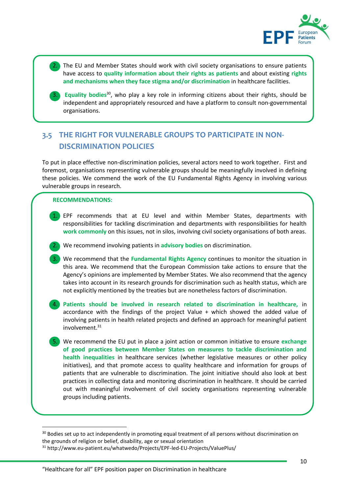

1 1 2. The EU and Member States should work with civil society organisations to ensure patients have access to **quality information about their rights as patients** and about existing **rights and mechanisms when they face stigma and/or discrimination** in healthcare facilities.

3. Equality bodies<sup>30</sup>, who play a key role in informing citizens about their rights, should be independent and appropriately resourced and have a platform to consult non-governmental organisations.

# **3.5 THE RIGHT FOR VULNERABLE GROUPS TO PARTICIPATE IN NON-DISCRIMINATION POLICIES**

11 To put in place effective non-discrimination policies, several actors need to work together. First and foremost, organisations representing vulnerable groups should be meaningfully involved in defining these policies. We commend the work of the EU Fundamental Rights Agency in involving various vulnerable groups in research.

### **RECOMMENDATIONS:**

1

**.** 

1 1 1. EPF recommends that at EU level and within Member States, departments with responsibilities for tackling discrimination and departments with responsibilities for health **work commonly** on this issues, not in silos, involving civil society organisations of both areas.

1 2. We recommend involving patients in **advisory bodies** on discrimination.

1 1 3. We recommend that the **Fundamental Rights Agency** continues to monitor the situation in this area. We recommend that the European Commission take actions to ensure that the Agency's opinions are implemented by Member States. We also recommend that the agency takes into account in its research grounds for discrimination such as health status, which are not explicitly mentioned by the treaties but are nonetheless factors of discrimination.

1 4. **Patients should be involved in research related to discrimination in healthcare,** in accordance with the findings of the project Value  $+$  which showed the added value of involving patients in health related projects and defined an approach for meaningful patient involvement.<sup>31</sup>

1 5. We recommend the EU put in place a joint action or common initiative to ensure **exchange of good practices between Member States on measures to tackle discrimination and health inequalities** in healthcare services (whether legislative measures or other policy initiatives), and that promote access to quality healthcare and information for groups of patients that are vulnerable to discrimination. The joint initiative should also look at best practices in collecting data and monitoring discrimination in healthcare. It should be carried out with meaningful involvement of civil society organisations representing vulnerable groups including patients.

<sup>&</sup>lt;sup>30</sup> Bodies set up to act independently in promoting equal treatment of all persons without discrimination on the grounds of religion or belief, disability, age or sexual orientation

<sup>31</sup> http://www.eu-patient.eu/whatwedo/Projects/EPF-led-EU-Projects/ValuePlus/